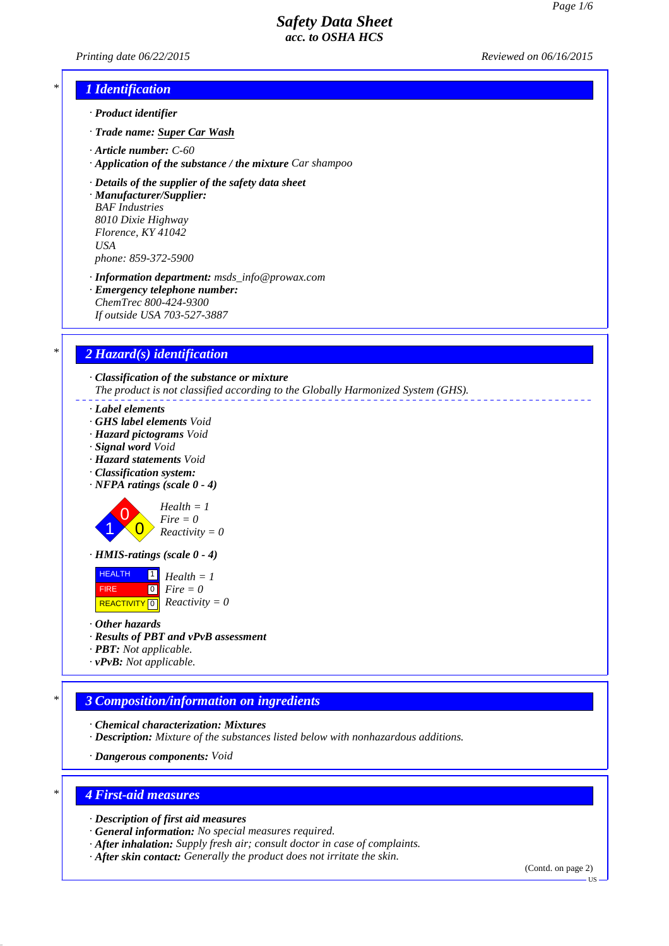*Printing date 06/22/2015 Reviewed on 06/16/2015*

## *\* 1 Identification*

- *· Product identifier*
- *· Trade name: Super Car Wash*
- *· Article number: C-60*
- *· Application of the substance / the mixture Car shampoo*

*· Details of the supplier of the safety data sheet · Manufacturer/Supplier:*

*BAF Industries 8010 Dixie Highway Florence, KY 41042 USA phone: 859-372-5900*

*· Information department: msds\_info@prowax.com*

*· Emergency telephone number: ChemTrec 800-424-9300 If outside USA 703-527-3887*

### *\* 2 Hazard(s) identification*

*· Classification of the substance or mixture The product is not classified according to the Globally Harmonized System (GHS).*

#### *· Label elements*

- *· GHS label elements Void*
- *· Hazard pictograms Void*
- *· Signal word Void*
- *· Hazard statements Void*
- *· Classification system:*
- *· NFPA ratings (scale 0 4)*

1 0  $\overline{0}$ 



*· HMIS-ratings (scale 0 - 4)*

 HEALTH FIRE  $R$ **REACTIVITY**  $\boxed{0}$  *Reactivity* = 0 1 *Health = 1* 0 *Fire = 0*

- *· Other hazards*
- *· Results of PBT and vPvB assessment*
- *· PBT: Not applicable.*
- *· vPvB: Not applicable.*

## *\* 3 Composition/information on ingredients*

- *· Chemical characterization: Mixtures*
- *· Description: Mixture of the substances listed below with nonhazardous additions.*

*· Dangerous components: Void*

### *\* 4 First-aid measures*

*· Description of first aid measures*

- *· General information: No special measures required.*
- *· After inhalation: Supply fresh air; consult doctor in case of complaints.*
- *· After skin contact: Generally the product does not irritate the skin.*

(Contd. on page 2)

US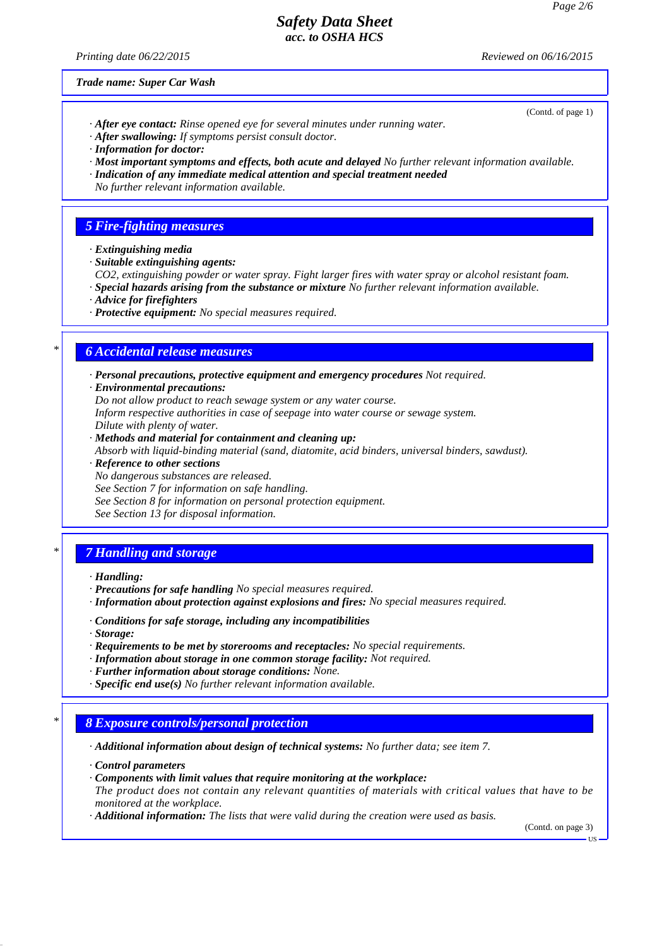*Printing date 06/22/2015 Reviewed on 06/16/2015*

(Contd. of page 1)

*Trade name: Super Car Wash*

- *· After eye contact: Rinse opened eye for several minutes under running water.*
- *· After swallowing: If symptoms persist consult doctor.*
- *· Information for doctor:*
- *· Most important symptoms and effects, both acute and delayed No further relevant information available.*
- *· Indication of any immediate medical attention and special treatment needed*
- *No further relevant information available.*

# *5 Fire-fighting measures*

- *· Extinguishing media*
- *· Suitable extinguishing agents:*
- *CO2, extinguishing powder or water spray. Fight larger fires with water spray or alcohol resistant foam.*
- *· Special hazards arising from the substance or mixture No further relevant information available.*
- *· Advice for firefighters*
- *· Protective equipment: No special measures required.*

# *\* 6 Accidental release measures*

- *· Personal precautions, protective equipment and emergency procedures Not required.*
- *· Environmental precautions:*
- *Do not allow product to reach sewage system or any water course.*

*Inform respective authorities in case of seepage into water course or sewage system. Dilute with plenty of water.*

- *· Methods and material for containment and cleaning up: Absorb with liquid-binding material (sand, diatomite, acid binders, universal binders, sawdust).*
- *· Reference to other sections*
- *No dangerous substances are released.*
- *See Section 7 for information on safe handling.*
- *See Section 8 for information on personal protection equipment.*
- *See Section 13 for disposal information.*

# *\* 7 Handling and storage*

- *· Handling:*
- *· Precautions for safe handling No special measures required.*
- *· Information about protection against explosions and fires: No special measures required.*
- *· Conditions for safe storage, including any incompatibilities*
- *· Storage:*
- *· Requirements to be met by storerooms and receptacles: No special requirements.*
- *· Information about storage in one common storage facility: Not required.*
- *· Further information about storage conditions: None.*
- *· Specific end use(s) No further relevant information available.*

## *\* 8 Exposure controls/personal protection*

*· Additional information about design of technical systems: No further data; see item 7.*

- *· Control parameters*
- *· Components with limit values that require monitoring at the workplace:*
- *The product does not contain any relevant quantities of materials with critical values that have to be monitored at the workplace.*
- *· Additional information: The lists that were valid during the creation were used as basis.*

(Contd. on page 3)

US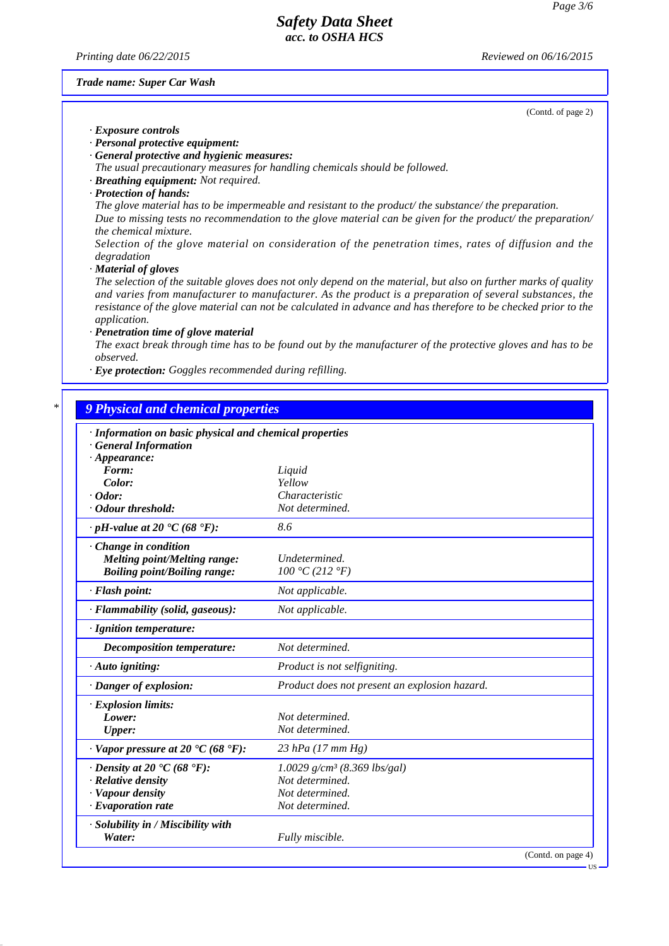*Printing date 06/22/2015 Reviewed on 06/16/2015*

### *Trade name: Super Car Wash*

(Contd. of page 2)

#### *· Exposure controls*

*· Personal protective equipment:*

- *· General protective and hygienic measures:*
- *The usual precautionary measures for handling chemicals should be followed.*
- *· Breathing equipment: Not required.*
- *· Protection of hands:*

*The glove material has to be impermeable and resistant to the product/ the substance/ the preparation. Due to missing tests no recommendation to the glove material can be given for the product/ the preparation/ the chemical mixture.*

*Selection of the glove material on consideration of the penetration times, rates of diffusion and the degradation*

*· Material of gloves*

*The selection of the suitable gloves does not only depend on the material, but also on further marks of quality and varies from manufacturer to manufacturer. As the product is a preparation of several substances, the resistance of the glove material can not be calculated in advance and has therefore to be checked prior to the application.*

*· Penetration time of glove material*

*The exact break through time has to be found out by the manufacturer of the protective gloves and has to be observed.*

*· Eye protection: Goggles recommended during refilling.*

### *\* 9 Physical and chemical properties*

| · Information on basic physical and chemical properties<br><b>General Information</b> |                                               |  |  |  |  |  |
|---------------------------------------------------------------------------------------|-----------------------------------------------|--|--|--|--|--|
| $\cdot$ Appearance:                                                                   |                                               |  |  |  |  |  |
| Form:                                                                                 | Liquid                                        |  |  |  |  |  |
| Color:                                                                                | Yellow                                        |  |  |  |  |  |
| $\cdot$ Odor:                                                                         | Characteristic                                |  |  |  |  |  |
| · Odour threshold:                                                                    | Not determined.                               |  |  |  |  |  |
| $\cdot$ pH-value at 20 $\textdegree$ C (68 $\textdegree$ F):                          | 8.6                                           |  |  |  |  |  |
| · Change in condition                                                                 |                                               |  |  |  |  |  |
| <b>Melting point/Melting range:</b>                                                   | Undetermined.                                 |  |  |  |  |  |
| <b>Boiling point/Boiling range:</b>                                                   | 100 °C (212 °F)                               |  |  |  |  |  |
| · Flash point:                                                                        | Not applicable.                               |  |  |  |  |  |
| · Flammability (solid, gaseous):                                                      | Not applicable.                               |  |  |  |  |  |
| $\cdot$ Ignition temperature:                                                         |                                               |  |  |  |  |  |
| <b>Decomposition temperature:</b>                                                     | Not determined.                               |  |  |  |  |  |
| · Auto igniting:                                                                      | Product is not selfigniting.                  |  |  |  |  |  |
| $\cdot$ Danger of explosion:                                                          | Product does not present an explosion hazard. |  |  |  |  |  |
| · Explosion limits:                                                                   |                                               |  |  |  |  |  |
| Lower:                                                                                | Not determined.                               |  |  |  |  |  |
| <b>Upper:</b>                                                                         | Not determined.                               |  |  |  |  |  |
| $\cdot$ Vapor pressure at 20 $\textdegree$ C (68 $\textdegree$ F):                    | 23 hPa $(17 \, \text{mm Hg})$                 |  |  |  |  |  |
| $\cdot$ Density at 20 $\cdot$ C (68 $\cdot$ F):                                       | $1.0029$ g/cm <sup>3</sup> (8.369 lbs/gal)    |  |  |  |  |  |
| $\cdot$ Relative density                                                              | Not determined.                               |  |  |  |  |  |
| · Vapour density                                                                      | Not determined.                               |  |  |  |  |  |
| $\cdot$ Evaporation rate                                                              | Not determined.                               |  |  |  |  |  |
| · Solubility in / Miscibility with                                                    |                                               |  |  |  |  |  |
| Water:                                                                                | Fully miscible.                               |  |  |  |  |  |
|                                                                                       | (Contd. on page 4)                            |  |  |  |  |  |
|                                                                                       | US                                            |  |  |  |  |  |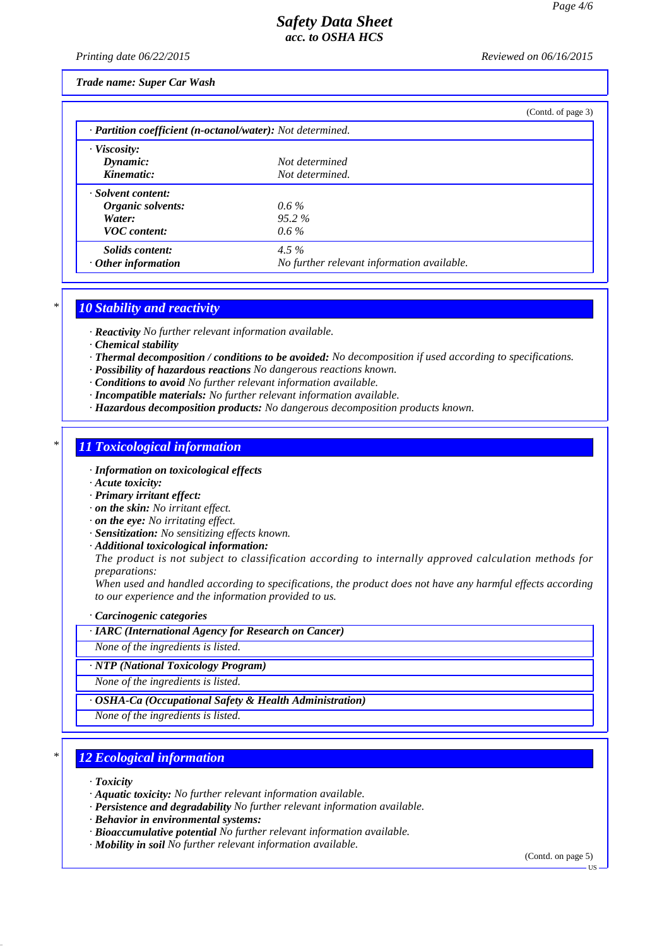*Printing date 06/22/2015 Reviewed on 06/16/2015*

*Trade name: Super Car Wash*

|                                                            |                                            | (Contd. of page 3) |  |  |  |  |  |
|------------------------------------------------------------|--------------------------------------------|--------------------|--|--|--|--|--|
| · Partition coefficient (n-octanol/water): Not determined. |                                            |                    |  |  |  |  |  |
| · Viscosity:                                               |                                            |                    |  |  |  |  |  |
| Dynamic:                                                   | Not determined                             |                    |  |  |  |  |  |
| Kinematic:                                                 | Not determined.                            |                    |  |  |  |  |  |
| · Solvent content:                                         |                                            |                    |  |  |  |  |  |
| Organic solvents:                                          | $0.6\%$                                    |                    |  |  |  |  |  |
| Water:                                                     | $95.2\%$                                   |                    |  |  |  |  |  |
| <b>VOC</b> content:                                        | $0.6\%$                                    |                    |  |  |  |  |  |
| Solids content:                                            | 4.5 $%$                                    |                    |  |  |  |  |  |
| $\cdot$ Other information                                  | No further relevant information available. |                    |  |  |  |  |  |

## *\* 10 Stability and reactivity*

*· Reactivity No further relevant information available.*

*· Chemical stability*

*· Thermal decomposition / conditions to be avoided: No decomposition if used according to specifications.*

*· Possibility of hazardous reactions No dangerous reactions known.*

*· Conditions to avoid No further relevant information available.*

- *· Incompatible materials: No further relevant information available.*
- *· Hazardous decomposition products: No dangerous decomposition products known.*

# *\* 11 Toxicological information*

- *· Information on toxicological effects*
- *· Acute toxicity:*
- *· Primary irritant effect:*
- *· on the skin: No irritant effect.*
- *· on the eye: No irritating effect.*
- *· Sensitization: No sensitizing effects known.*
- *· Additional toxicological information:*

*The product is not subject to classification according to internally approved calculation methods for preparations:*

*When used and handled according to specifications, the product does not have any harmful effects according to our experience and the information provided to us.*

*· Carcinogenic categories*

*· IARC (International Agency for Research on Cancer)*

*None of the ingredients is listed.*

*· NTP (National Toxicology Program)*

*None of the ingredients is listed.*

*· OSHA-Ca (Occupational Safety & Health Administration)*

*None of the ingredients is listed.*

## *\* 12 Ecological information*

*· Toxicity*

*· Aquatic toxicity: No further relevant information available.*

*· Persistence and degradability No further relevant information available.*

*· Behavior in environmental systems:*

- *· Bioaccumulative potential No further relevant information available.*
- *· Mobility in soil No further relevant information available.*

(Contd. on page 5)

US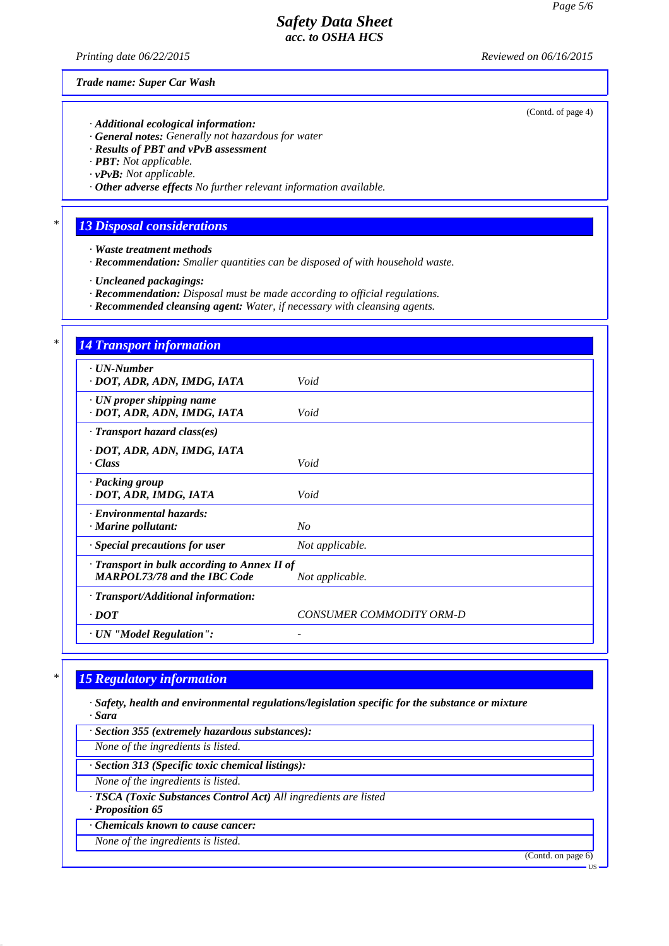*Printing date 06/22/2015 Reviewed on 06/16/2015*

*Trade name: Super Car Wash*

- *· Additional ecological information:*
- *· General notes: Generally not hazardous for water*
- *· Results of PBT and vPvB assessment*
- *· PBT: Not applicable.*
- *· vPvB: Not applicable.*
- *· Other adverse effects No further relevant information available.*

## *\* 13 Disposal considerations*

- *· Waste treatment methods*
- *· Recommendation: Smaller quantities can be disposed of with household waste.*
- *· Uncleaned packagings:*
- *· Recommendation: Disposal must be made according to official regulations.*
- *· Recommended cleansing agent: Water, if necessary with cleansing agents.*

| <b>14 Transport information</b>                                                                        |                          |  |  |  |
|--------------------------------------------------------------------------------------------------------|--------------------------|--|--|--|
| $\cdot$ UN-Number<br>· DOT, ADR, ADN, IMDG, IATA                                                       | Void                     |  |  |  |
| · UN proper shipping name<br>· DOT, ADR, ADN, IMDG, IATA                                               | Void                     |  |  |  |
| $\cdot$ Transport hazard class(es)                                                                     |                          |  |  |  |
| · DOT, ADR, ADN, IMDG, IATA<br>$\cdot Class$                                                           | Void                     |  |  |  |
| · Packing group<br>· DOT, ADR, IMDG, IATA                                                              | Void                     |  |  |  |
| · Environmental hazards:<br>$\cdot$ Marine pollutant:                                                  | No                       |  |  |  |
| · Special precautions for user                                                                         | Not applicable.          |  |  |  |
| · Transport in bulk according to Annex II of<br><b>MARPOL73/78 and the IBC Code</b><br>Not applicable. |                          |  |  |  |
| · Transport/Additional information:                                                                    |                          |  |  |  |
| $\cdot$ DOT                                                                                            | CONSUMER COMMODITY ORM-D |  |  |  |
| · UN "Model Regulation":                                                                               |                          |  |  |  |

### *\* 15 Regulatory information*

*· Safety, health and environmental regulations/legislation specific for the substance or mixture · Sara*

*· Section 355 (extremely hazardous substances):*

*None of the ingredients is listed.*

*· Section 313 (Specific toxic chemical listings):*

*None of the ingredients is listed.*

*· TSCA (Toxic Substances Control Act) All ingredients are listed*

*· Proposition 65*

- *· Chemicals known to cause cancer:*
- *None of the ingredients is listed.*

(Contd. on page 6)

US

(Contd. of page 4)